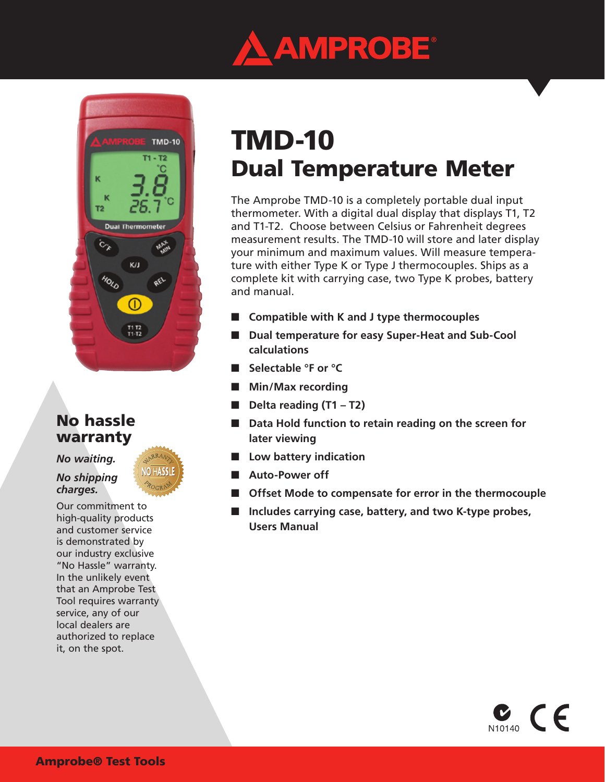



## No hassle warranty

### *No waiting.*

### *No shipping charges.*

Our commitment to high-quality products and customer service is demonstrated by our industry exclusive "No Hassle" warranty. In the unlikely event that an Amprobe Test Tool requires warranty service, any of our local dealers are authorized to replace it, on the spot.

# TMD-10 Dual Temperature Meter

The Amprobe TMD-10 is a completely portable dual input thermometer. With a digital dual display that displays T1, T2 and T1-T2. Choose between Celsius or Fahrenheit degrees measurement results. The TMD-10 will store and later display your minimum and maximum values. Will measure temperature with either Type K or Type J thermocouples. Ships as a complete kit with carrying case, two Type K probes, battery and manual.

- **Compatible with K and J type thermocouples**
- **Dual temperature for easy Super-Heat and Sub-Cool calculations**
- Selectable °F or °C
- **Min/Max recording**
- **Delta reading (T1-T2)**
- **Data Hold function to retain reading on the screen for later viewing**
- Low battery indication
- **Auto-Power off**
- **Offset Mode to compensate for error in the thermocouple**
- **Includes carrying case, battery, and two K-type probes, Users Manual**